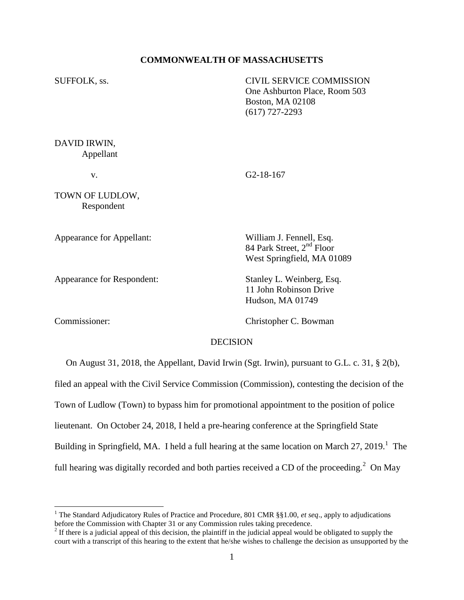#### **COMMONWEALTH OF MASSACHUSETTS**

SUFFOLK, ss. CIVIL SERVICE COMMISSION One Ashburton Place, Room 503 Boston, MA 02108 (617) 727-2293 DAVID IRWIN,

v. G2-18-167

TOWN OF LUDLOW, Respondent

Appellant

Appearance for Appellant: William J. Fennell, Esq.

Appearance for Respondent: Stanley L. Weinberg, Esq.

 $\overline{a}$ 

Commissioner: Christopher C. Bowman

11 John Robinson Drive Hudson, MA 01749

84 Park Street, 2<sup>nd</sup> Floor West Springfield, MA 01089

## **DECISION**

 On August 31, 2018, the Appellant, David Irwin (Sgt. Irwin), pursuant to G.L. c. 31, § 2(b), filed an appeal with the Civil Service Commission (Commission), contesting the decision of the Town of Ludlow (Town) to bypass him for promotional appointment to the position of police lieutenant. On October 24, 2018, I held a pre-hearing conference at the Springfield State Building in Springfield, MA. I held a full hearing at the same location on March 27, 2019.<sup>1</sup> The full hearing was digitally recorded and both parties received a CD of the proceeding.<sup>2</sup> On May

<sup>1</sup> The Standard Adjudicatory Rules of Practice and Procedure, 801 CMR §§1.00, *et seq*., apply to adjudications before the Commission with Chapter 31 or any Commission rules taking precedence.

 $2<sup>2</sup>$  If there is a judicial appeal of this decision, the plaintiff in the judicial appeal would be obligated to supply the court with a transcript of this hearing to the extent that he/she wishes to challenge the decision as unsupported by the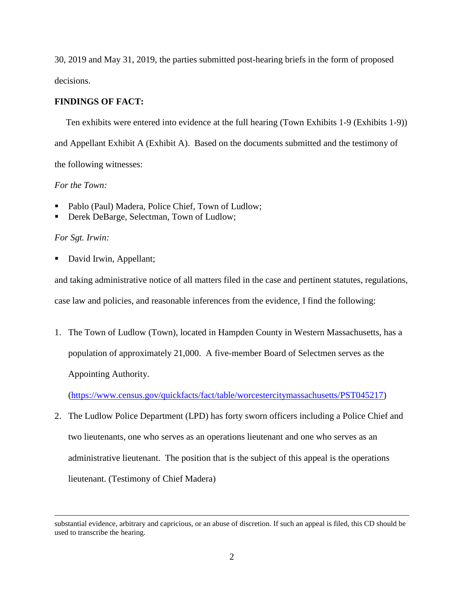30, 2019 and May 31, 2019, the parties submitted post-hearing briefs in the form of proposed decisions.

# **FINDINGS OF FACT:**

Ten exhibits were entered into evidence at the full hearing (Town Exhibits 1-9 (Exhibits 1-9)) and Appellant Exhibit A (Exhibit A). Based on the documents submitted and the testimony of the following witnesses:

# *For the Town:*

- Pablo (Paul) Madera, Police Chief, Town of Ludlow;
- Derek DeBarge, Selectman, Town of Ludlow;

## *For Sgt. Irwin:*

 $\overline{a}$ 

David Irwin, Appellant;

and taking administrative notice of all matters filed in the case and pertinent statutes, regulations, case law and policies, and reasonable inferences from the evidence, I find the following:

1. The Town of Ludlow (Town), located in Hampden County in Western Massachusetts, has a population of approximately 21,000. A five-member Board of Selectmen serves as the Appointing Authority.

[\(https://www.census.gov/quickfacts/fact/table/worcestercitymassachusetts/PST045217\)](https://www.census.gov/quickfacts/fact/table/worcestercitymassachusetts/PST045217)

2. The Ludlow Police Department (LPD) has forty sworn officers including a Police Chief and two lieutenants, one who serves as an operations lieutenant and one who serves as an administrative lieutenant. The position that is the subject of this appeal is the operations lieutenant. (Testimony of Chief Madera)

substantial evidence, arbitrary and capricious, or an abuse of discretion. If such an appeal is filed, this CD should be used to transcribe the hearing.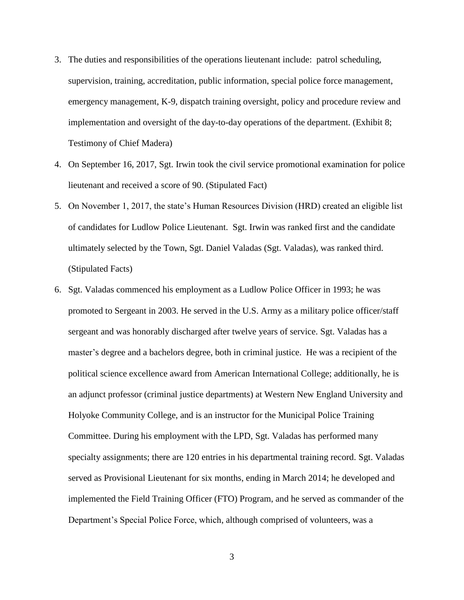- 3. The duties and responsibilities of the operations lieutenant include: patrol scheduling, supervision, training, accreditation, public information, special police force management, emergency management, K-9, dispatch training oversight, policy and procedure review and implementation and oversight of the day-to-day operations of the department. (Exhibit 8; Testimony of Chief Madera)
- 4. On September 16, 2017, Sgt. Irwin took the civil service promotional examination for police lieutenant and received a score of 90. (Stipulated Fact)
- 5. On November 1, 2017, the state's Human Resources Division (HRD) created an eligible list of candidates for Ludlow Police Lieutenant. Sgt. Irwin was ranked first and the candidate ultimately selected by the Town, Sgt. Daniel Valadas (Sgt. Valadas), was ranked third. (Stipulated Facts)
- 6. Sgt. Valadas commenced his employment as a Ludlow Police Officer in 1993; he was promoted to Sergeant in 2003. He served in the U.S. Army as a military police officer/staff sergeant and was honorably discharged after twelve years of service. Sgt. Valadas has a master's degree and a bachelors degree, both in criminal justice. He was a recipient of the political science excellence award from American International College; additionally, he is an adjunct professor (criminal justice departments) at Western New England University and Holyoke Community College, and is an instructor for the Municipal Police Training Committee. During his employment with the LPD, Sgt. Valadas has performed many specialty assignments; there are 120 entries in his departmental training record. Sgt. Valadas served as Provisional Lieutenant for six months, ending in March 2014; he developed and implemented the Field Training Officer (FTO) Program, and he served as commander of the Department's Special Police Force, which, although comprised of volunteers, was a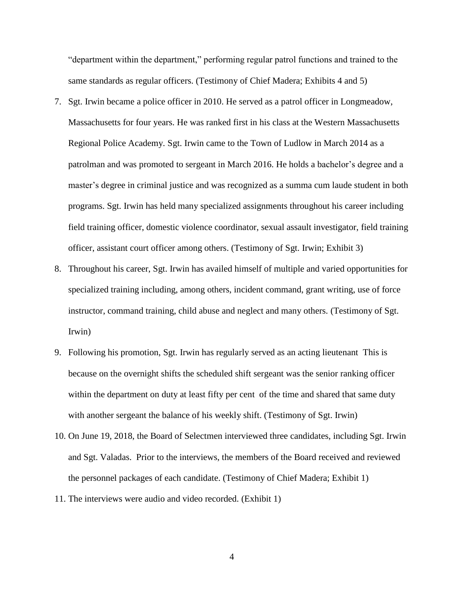"department within the department," performing regular patrol functions and trained to the same standards as regular officers. (Testimony of Chief Madera; Exhibits 4 and 5)

- 7. Sgt. Irwin became a police officer in 2010. He served as a patrol officer in Longmeadow, Massachusetts for four years. He was ranked first in his class at the Western Massachusetts Regional Police Academy. Sgt. Irwin came to the Town of Ludlow in March 2014 as a patrolman and was promoted to sergeant in March 2016. He holds a bachelor's degree and a master's degree in criminal justice and was recognized as a summa cum laude student in both programs. Sgt. Irwin has held many specialized assignments throughout his career including field training officer, domestic violence coordinator, sexual assault investigator, field training officer, assistant court officer among others. (Testimony of Sgt. Irwin; Exhibit 3)
- 8. Throughout his career, Sgt. Irwin has availed himself of multiple and varied opportunities for specialized training including, among others, incident command, grant writing, use of force instructor, command training, child abuse and neglect and many others. (Testimony of Sgt. Irwin)
- 9. Following his promotion, Sgt. Irwin has regularly served as an acting lieutenant This is because on the overnight shifts the scheduled shift sergeant was the senior ranking officer within the department on duty at least fifty per cent of the time and shared that same duty with another sergeant the balance of his weekly shift. (Testimony of Sgt. Irwin)
- 10. On June 19, 2018, the Board of Selectmen interviewed three candidates, including Sgt. Irwin and Sgt. Valadas. Prior to the interviews, the members of the Board received and reviewed the personnel packages of each candidate. (Testimony of Chief Madera; Exhibit 1)
- 11. The interviews were audio and video recorded. (Exhibit 1)

4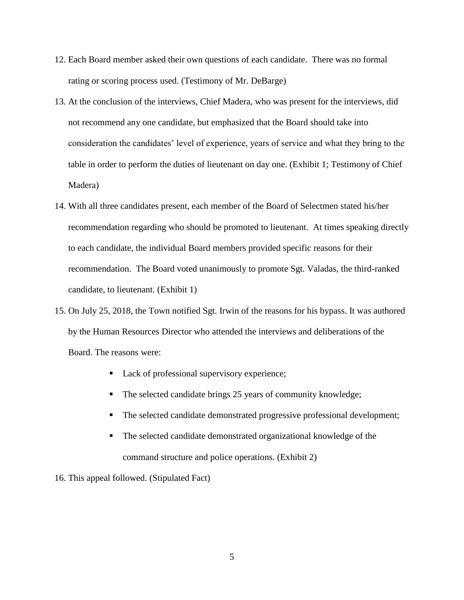- 12. Each Board member asked their own questions of each candidate. There was no formal rating or scoring process used. (Testimony of Mr. DeBarge)
- 13. At the conclusion of the interviews, Chief Madera, who was present for the interviews, did not recommend any one candidate, but emphasized that the Board should take into consideration the candidates' level of experience, years of service and what they bring to the table in order to perform the duties of lieutenant on day one. (Exhibit 1; Testimony of Chief Madera)
- 14. With all three candidates present, each member of the Board of Selectmen stated his/her recommendation regarding who should be promoted to lieutenant. At times speaking directly to each candidate, the individual Board members provided specific reasons for their recommendation. The Board voted unanimously to promote Sgt. Valadas, the third-ranked candidate, to lieutenant. (Exhibit 1)
- 15. On July 25, 2018, the Town notified Sgt. Irwin of the reasons for his bypass. It was authored by the Human Resources Director who attended the interviews and deliberations of the Board. The reasons were:
	- Lack of professional supervisory experience;
	- The selected candidate brings 25 years of community knowledge;
	- The selected candidate demonstrated progressive professional development;
	- The selected candidate demonstrated organizational knowledge of the command structure and police operations. (Exhibit 2)
- 16. This appeal followed. (Stipulated Fact)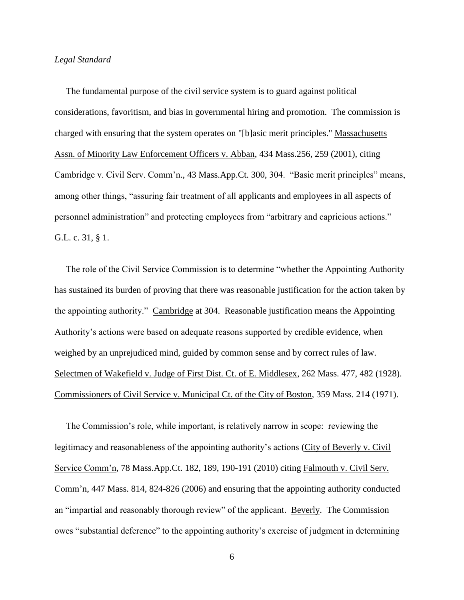#### *Legal Standard*

 The fundamental purpose of the civil service system is to guard against political considerations, favoritism, and bias in governmental hiring and promotion. The commission is charged with ensuring that the system operates on "[b]asic merit principles." Massachusetts Assn. of Minority Law Enforcement Officers v. Abban, 434 Mass.256, 259 (2001), citing Cambridge v. Civil Serv. Comm'n., 43 Mass.App.Ct. 300, 304. "Basic merit principles" means, among other things, "assuring fair treatment of all applicants and employees in all aspects of personnel administration" and protecting employees from "arbitrary and capricious actions." G.L. c. 31, § 1.

 The role of the Civil Service Commission is to determine "whether the Appointing Authority has sustained its burden of proving that there was reasonable justification for the action taken by the appointing authority." Cambridge at 304. Reasonable justification means the Appointing Authority's actions were based on adequate reasons supported by credible evidence, when weighed by an unprejudiced mind, guided by common sense and by correct rules of law. Selectmen of Wakefield v. Judge of First Dist. Ct. of E. Middlesex, 262 Mass. 477, 482 (1928). Commissioners of Civil Service v. Municipal Ct. of the City of Boston, 359 Mass. 214 (1971).

 The Commission's role, while important, is relatively narrow in scope: reviewing the legitimacy and reasonableness of the appointing authority's actions (City of Beverly v. Civil Service Comm'n, 78 Mass.App.Ct. 182, 189, 190-191 (2010) citing Falmouth v. Civil Serv. Comm'n, 447 Mass. 814, 824-826 (2006) and ensuring that the appointing authority conducted an "impartial and reasonably thorough review" of the applicant. Beverly. The Commission owes "substantial deference" to the appointing authority's exercise of judgment in determining

6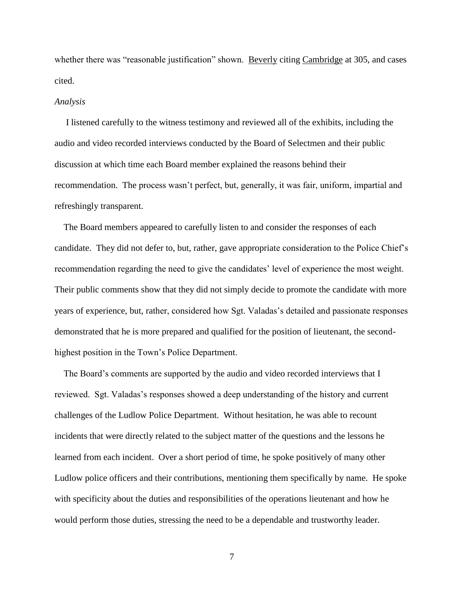whether there was "reasonable justification" shown. Beverly citing Cambridge at 305, and cases cited.

#### *Analysis*

 I listened carefully to the witness testimony and reviewed all of the exhibits, including the audio and video recorded interviews conducted by the Board of Selectmen and their public discussion at which time each Board member explained the reasons behind their recommendation. The process wasn't perfect, but, generally, it was fair, uniform, impartial and refreshingly transparent.

 The Board members appeared to carefully listen to and consider the responses of each candidate. They did not defer to, but, rather, gave appropriate consideration to the Police Chief's recommendation regarding the need to give the candidates' level of experience the most weight. Their public comments show that they did not simply decide to promote the candidate with more years of experience, but, rather, considered how Sgt. Valadas's detailed and passionate responses demonstrated that he is more prepared and qualified for the position of lieutenant, the secondhighest position in the Town's Police Department.

 The Board's comments are supported by the audio and video recorded interviews that I reviewed. Sgt. Valadas's responses showed a deep understanding of the history and current challenges of the Ludlow Police Department. Without hesitation, he was able to recount incidents that were directly related to the subject matter of the questions and the lessons he learned from each incident. Over a short period of time, he spoke positively of many other Ludlow police officers and their contributions, mentioning them specifically by name. He spoke with specificity about the duties and responsibilities of the operations lieutenant and how he would perform those duties, stressing the need to be a dependable and trustworthy leader.

7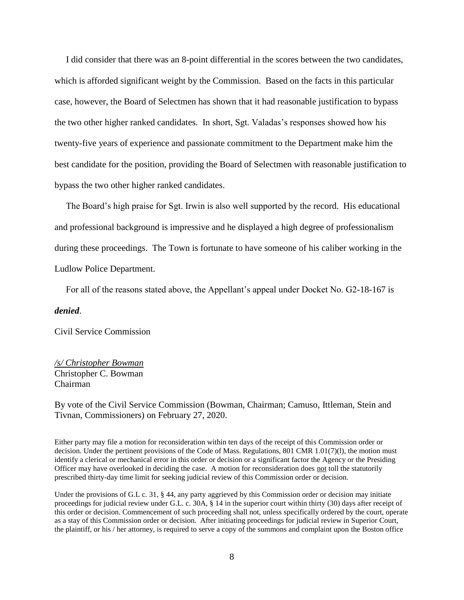I did consider that there was an 8-point differential in the scores between the two candidates, which is afforded significant weight by the Commission. Based on the facts in this particular case, however, the Board of Selectmen has shown that it had reasonable justification to bypass the two other higher ranked candidates. In short, Sgt. Valadas's responses showed how his twenty-five years of experience and passionate commitment to the Department make him the best candidate for the position, providing the Board of Selectmen with reasonable justification to bypass the two other higher ranked candidates.

 The Board's high praise for Sgt. Irwin is also well supported by the record. His educational and professional background is impressive and he displayed a high degree of professionalism during these proceedings. The Town is fortunate to have someone of his caliber working in the Ludlow Police Department.

For all of the reasons stated above, the Appellant's appeal under Docket No. G2-18-167 is

#### *denied*.

Civil Service Commission

# */s/ Christopher Bowman* Christopher C. Bowman Chairman

By vote of the Civil Service Commission (Bowman, Chairman; Camuso, Ittleman, Stein and Tivnan, Commissioners) on February 27, 2020.

Either party may file a motion for reconsideration within ten days of the receipt of this Commission order or decision. Under the pertinent provisions of the Code of Mass. Regulations, 801 CMR 1.01(7)(l), the motion must identify a clerical or mechanical error in this order or decision or a significant factor the Agency or the Presiding Officer may have overlooked in deciding the case. A motion for reconsideration does not toll the statutorily prescribed thirty-day time limit for seeking judicial review of this Commission order or decision.

Under the provisions of G.L c. 31, § 44, any party aggrieved by this Commission order or decision may initiate proceedings for judicial review under G.L. c. 30A, § 14 in the superior court within thirty (30) days after receipt of this order or decision. Commencement of such proceeding shall not, unless specifically ordered by the court, operate as a stay of this Commission order or decision. After initiating proceedings for judicial review in Superior Court, the plaintiff, or his / her attorney, is required to serve a copy of the summons and complaint upon the Boston office